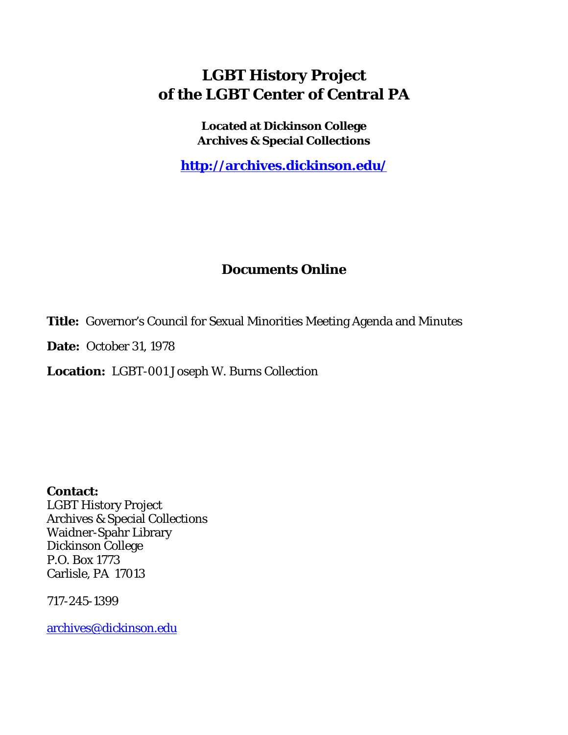# **LGBT History Project of the LGBT Center of Central PA**

**Located at Dickinson College Archives & Special Collections**

**<http://archives.dickinson.edu/>**

# **Documents Online**

**Title:** Governor's Council for Sexual Minorities Meeting Agenda and Minutes

**Date:** October 31, 1978

**Location:** LGBT-001 Joseph W. Burns Collection

**Contact:**  LGBT History Project Archives & Special Collections Waidner-Spahr Library Dickinson College P.O. Box 1773 Carlisle, PA 17013

717-245-1399

[archives@dickinson.edu](mailto:archives@dickinson.edu)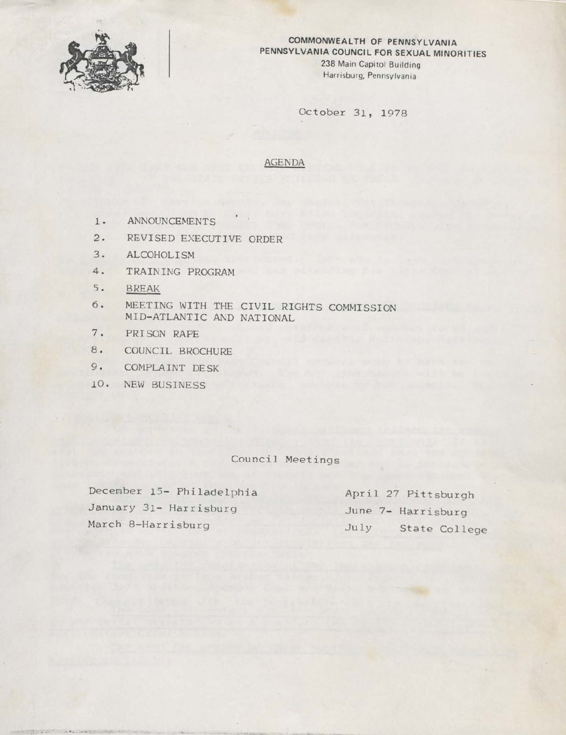

# **COMMONWEALTH OF PENNSYLVANIA PENNSYLVANIA COUNCIL FOR SEXUAL MINORITIES 238 Main Capitol Building**

**Harrisburg, Pennsylvania**

October 31, 1978

## AGENDA

- 1. ANNOUNCEMENTS
- 2. REVISED EXECUTIVE ORDER
- 3. ALCOHOLISM
- 4. TRAINING PROGRAM
- 5. BREAK
- 6. MEETING WITH THE CIVIL RIGHTS COMMISSION MID-ATLANTIC AND NATIONAL
- 7. PRISON RAPE
- 8. COUNCIL BROCHURE
- 9. COMPLAINT DESK
- 10. NEW BUSINESS

# Council Meetings

December 15- Philadelphia January 31- Harrisburg March 8-Harrisburg

April 27 Pittsburgh June 7- Harrisburg July State College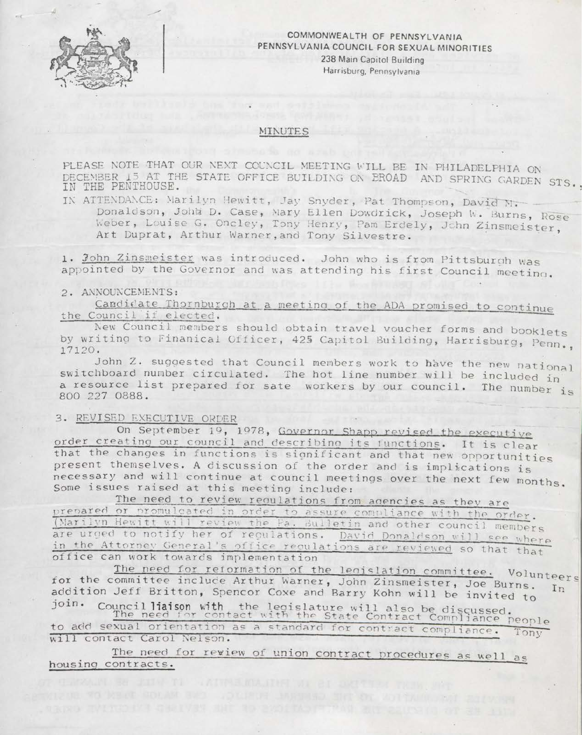

## **COMMONWEALTH OF PENNSYLVANIA PENNSYLVANIA COUNCIL FOR SEXUAL MINORITIES 238 Main Capitol Building Harrisburg, Pennsylvania**

#### MINUTES

PLEASE NOTE THAT OUR NEXT COUNCIL MEETING WILL BE IN PHILADELPHIA ON DECEMBER 15 AT THE STATE OFFICE BUILDING ON BROAD AND SPRING GARDEN STS IN THE PENTHOUSE.

ATTENDANCE: Marilyn Hewitt, Jay Snyder, Pat Thompson, David N. Donaldson, John D. Case, Mary Ellen Dowdrick, Joseph W. Burns, Rose Weber, Louise G. Oncley, Tony Henry, Pam Erdely, John Zinsmeister Art Duprat, Arthur Warner,and Tony Silvestre.

1. John Zinsmeister was introduced. John who is from Pittsburgh was 1. <u>John Zinsmeister</u> was introduced. John who is from Pittsburgh was<br>appointed by the Governor and was attending his first Council meeting.

## 2. ANNOUNCEMENTS:

Candidate Thornburgh at a meeting of the ADA promised to continue the Council if elected.

the Council if elected.<br>New Council members should obtain travel voucher forms and booklets by writing to Finanical Officer, 425 Capitol Building, Harrisburg, Penn  $17120.$   $\blacksquare$   $\blacksquare$   $\blacksquare$   $\blacksquare$   $\blacksquare$   $\blacksquare$   $\blacksquare$   $\blacksquare$   $\blacksquare$   $\blacksquare$   $\blacksquare$   $\blacksquare$ ,  $\blacksquare$ 

John Z. suggested that Council members work to have the new national switchboard number circulated. The hot line number will be included in a resource list prepared for sate workers by our council. The number  $\frac{1}{1000}$ a resource fist prepared for sate workers by our council. The number  $i_s$ 

#### 3. REVISED EXECUTIVE GRIER

On September 19, 1978, Governor Shapp revised the executive order creating our council and describing its functions. It is clear that the changes in functions is significant and that new opportunities present themselves. <sup>A</sup> discussion of the order and is implications is necessary and will continue at council meetings over the next few month necessary and will continue at council meetings over the next few months.<br>Some issues raised at this meeting include: Some issues raised at this meeting include:<br>The need to review regulations from agencies as they are

prepared or promulcated in order to assure compliance with the order. (Marilyn Hewitt will review the Fa. Bulletin and other council members are urged to notify her of regulations. David Donaldson will see where in the Attorney General's office regulations are reviewed so that that office can work towards implementation

The need for reformation of the legislation committee. Volunteers for the committee include Arthur Warner, John Zinsmeister, Joe Burns. In addition Jeff Britton, Spencor Coxe and Barry Kohn will be invited to<br>join. Council liaison with the legislature will also in it join. Council liaison with, the legislature will also be discussed

the need for contact with the State Contract Compliance people to add sexual orientation as a standard for contract compliance. Tony will contact Carol Nelson.

The need for review of union contract procedures as well as housing contracts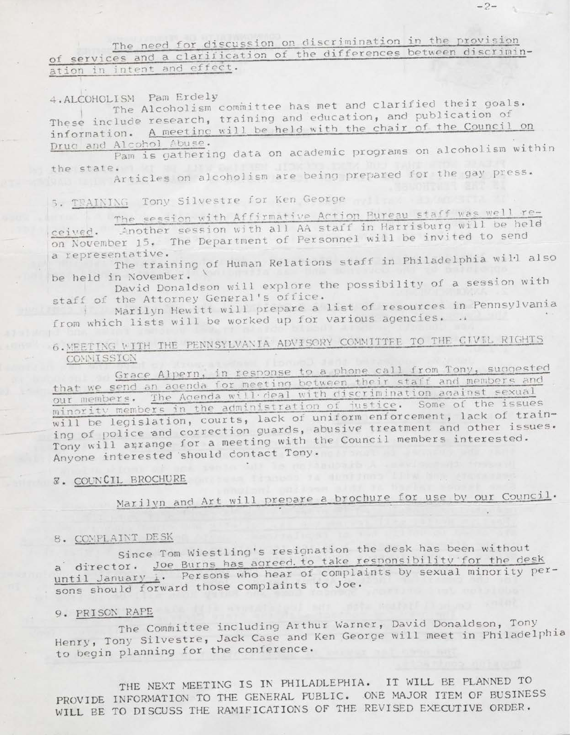# The need for discussion on discrimination in the provision of services and a clarification of the differences between discrimination in intent and effect.

4. ALCOHOLISM Pam Erdely<br>The Alcoholism committee has met and clarified their goals. These include research, training and education, and publication of information. A meetinc will be held with the chair of the Council on

Druc and Alcohol Abuse.<br>Pam is gathering data on academic programs on alcoholism within the state.

te.<br>Articles on alcoholism are being prepared for the gay press.

# 5. TEAINING Tony Silvestre for Ken George

The session with Affirmative Action Pureau staff was well re-<br>ceived. Another session with all AA staff in Harrisburg will be held on November 15, The Department of Personnel will be invited to send

a representative.<br>The training of Human Relations staff in Philadelphia will also

be held in November.<br>
David Donaldson will explore the possibility of a session with<br>
staff of the Attorney General's office.

Marilyn Hewitt will prepare a list of resources in Pennsylvania from which lists will be worked up for various agencies.

# 6. MEETING WITH THE PENNSYLVANIA ADVISORY COMMITTEE TO THE CIVIL RIGHTS **COMMISSION**

Grace Alpern, in response to a phone call from Tony, suggested that we send an agenda for meeting between their staff and members and our members. The Agenda will deal with discrimination against sexual minority members in the administration of justice. Some of the issues will be legislation, courts, lack of uniform enforcement, lack of training of police and correction guards, abusive treatment and other issues. Tony will agrange for a meeting with the Council members interested. Anyone interested should contact Tony.

# **Z. COUNCIL BROCHURE**

Marilyn and Art will prepare a brochure for use by our Council.

# 8. COMPLAINT DESK

Since Tom Wiestling's resignation the desk has been without Since Tom Wiestling's resignation the desk has been minister.<br>a director. <u>Joe Burns has agreed to take responsibility for the desk</u> a director. <u>Joe Burns Has agreed to complaints</u> by sexual minority per-<br>until January 1, Persons who hear of complaints by sexual minority perantil January 1. Fersons who hear to Joe.

# 9. PRISON RAFE

The Committee including Arthur Warner, David Donaldson, Tony Henry, Tony Silvestre, Jack Case and Ken George will meet in Philadelphia to begin planning for the conference.

THE NEXT MEETING IS IN PHILADLEPHIA. IT WILL BE PLANNED TO PROVIDE INFORMATION TO THE GENERAL PUBLIC. ONE MAJOR ITEM OF BUSINESS WILL BE TO DISCUSS THE RAMIFICATIONS OF THE REVISED EXECUTIVE ORDER.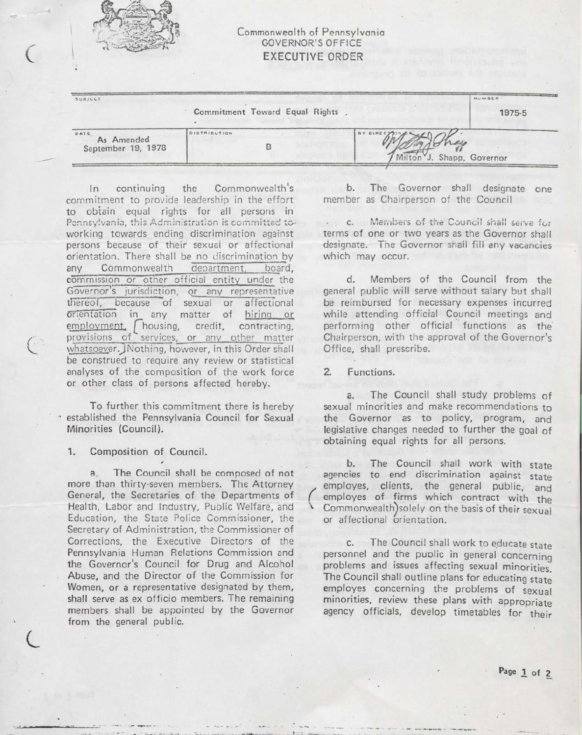

**€**

 $\overline{6}$ 

## Commonwealth of Pennsylvania GOVERNOR'<sup>S</sup> OFFICE EXECUTIVE ORDER

| SUBJECT                                  |                                |                                             | NUMBER |
|------------------------------------------|--------------------------------|---------------------------------------------|--------|
|                                          | Commitment Toward Equal Rights |                                             | 1975-5 |
| DATE<br>As Amended<br>September 19, 1978 | DISTRIBUTION                   | BY DIRECTION<br>7 Milton J. Shapp, Governor |        |

In continuing the Commonwealth's commitment to provide leadership in the effort to obtain equal rights for all persons in Pennsylvania, this Administration is committed toworking towards ending discrimination against persons because of their sexual or affectional orientation. There shall be no discrimination by any Commonwealth department, board, commission or other official entity under the Governor'<sup>s</sup> jurisdiction, or any representative thereof, because of sexual or affectional Orientation in any matter of hiring or employment,  $\int$  housing, credit, contracting, provisions of services, or any other matter whatsoever. JNothing, however, in this Order shall be construed to require any review or statistical analyses of the composition of the work force or other class of persons affected hereby.

To further this commitment there is hereby established the Pennsylvania Council for Sexual Minorities (Council).

## **1.** Composition of Council.

**z**

a. The Council shall be composed of not more than thirty-seven members. The Attorney General, the Secretaries of the Departments of Health, Labor and Industry, Public Welfare, and Education, the State Police Commissioner, the Secretary of Administration, the Commissioner of Corrections, the Executive Directors of the Pennsylvania Human Relations Commission and the Governor's Council for Drug and Alcohol Abuse, and the Director of the Commission for Women, or <sup>a</sup> representative designated by them, shall serve as ex officio members. The remaining members shall be appointed by the Governor from the general public.

b. The Governor shall designate one member as Chairperson of the Council

c. Members of the Council shall serve for terms of one or two years as the Governor shall designate. The Governor shall fill any vacancies which may occur.

d. Members of the Council from the general public will serve without salary but shall be reimbursed for necessary expenses incurred while attending official Council meetings and performing other official functions as the Chairperson, with the approval of the Governor's Office, shall prescribe.

## 2. Functions.

k

a. The Council shall study problems of sexual minorities and make recommendations to the Governor as to policy, program, and legislative changes needed to further the goal of obtaining equal rights for all persons.

b. The Council shall work with state agencies to end discrimination against state employes, clients, the general public, and employes of firms which contract with the Commonwealth) solely on the basis of their sexual or affectional orientation.

c. The Council shall work to educate state personnel and the public in general concerning problems and issues affecting sexual minorities The Council shall outline plans for educating state employes concerning the problems of sexual minorities, review these plans with appropriate agency officials, develop timetables for their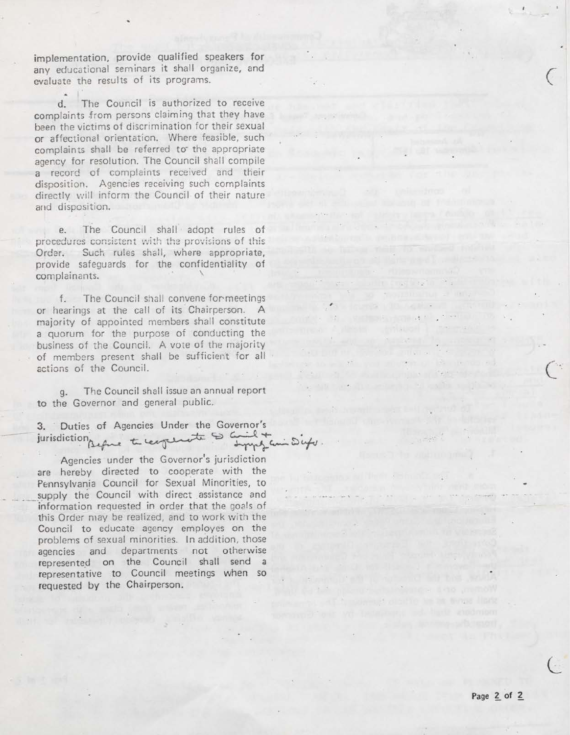implementation, provide qualified speakers for any educational seminars it shall organize, and evaluate the results of its programs.

 $\cdot$   $\|$ d. The Council is authorized to receive complaints from persons claiming that they have been the victims of discrimination for their sexual or affectional orientation. Where feasible, such complaints shall be referred to the appropriate agency for resolution. The Council shall compile <sup>a</sup> record of complaints received and their disposition. Agencies receiving such complaints directly will inform the Council of their nature and disposition.

e. The Council shall adopt rules of procedures consistent with the provisions of this Order. Such rules shall, where appropriate, provide safeguards for the confidentiality of complainants.

f. The Council shall convene formeetings or hearings at the call of its Chairperson. A majority of appointed members shall constitute <sup>a</sup> quorum for the purpose of conducting the business of the Council. A vote of the majority of members present shall be sufficient for all actions of the Council.

g. The Council shall issue an annual report to the Governor and general public.

3. Duties of Agencies Under the Governor's jurisdiction perfect to cont to come of

Agencies under the Governor's jurisdiction are hereby directed to cooperate with the Pennsylvania Council for Sexual Minorities, to supply the Council with direct assistance and information requested in order that the goals of this Order may be realized, and to work with the Council to educate agency employes on the problems of sexual minorities. In addition, those agencies and departments not otherwise represented on the Council shall send a representative to Council meetings when so requested by the Chairperson.

**CONTRACTOR** 

 $\therefore$   $\mathcal{S}$ ufu.